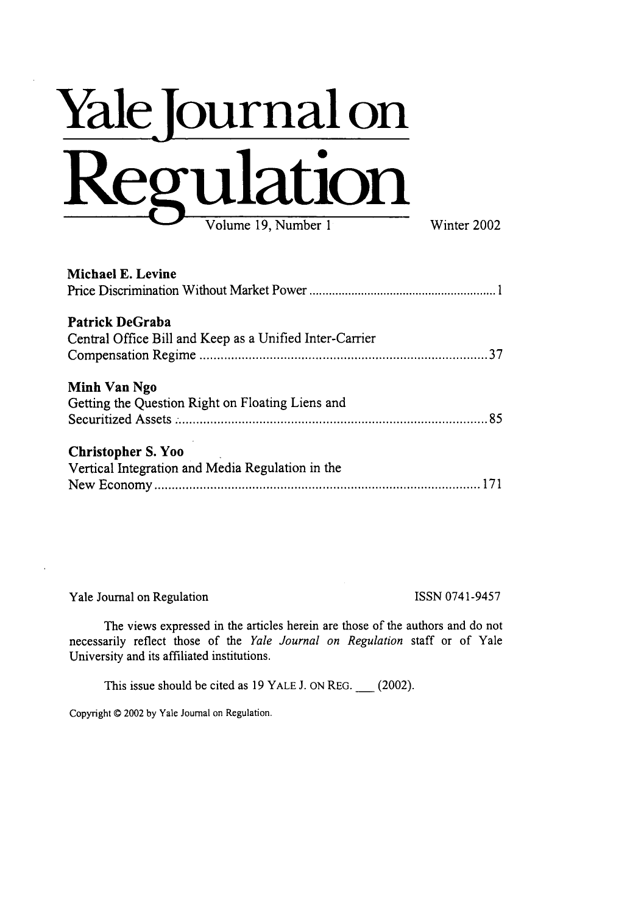# **Yale fournal on** Regulation

| Michael E. Levine                                                                 |
|-----------------------------------------------------------------------------------|
| <b>Patrick DeGraba</b><br>Central Office Bill and Keep as a Unified Inter-Carrier |
| Minh Van Ngo<br>Getting the Question Right on Floating Liens and                  |
| <b>Christopher S. Yoo</b><br>Vertical Integration and Media Regulation in the     |

Yale Journal on Regulation ISSN 0741-9457

The views expressed in the articles herein are those of the authors and do not necessarily reflect those of the *Yale Journal on Regulation* staff or of Yale University and its affiliated institutions.

This issue should be cited as 19 YALE J. ON REG. \_\_\_ (2002).

Copyright © 2002 by Yale Journal on Regulation.